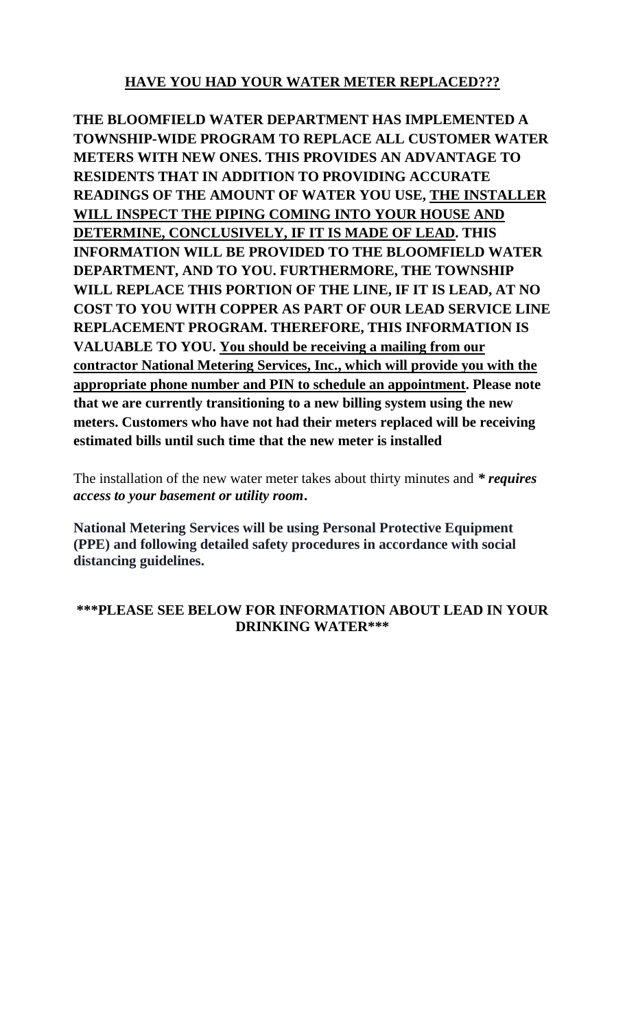# **HAVE YOU HAD YOUR WATER METER REPLACED???**

**THE BLOOMFIELD WATER DEPARTMENT HAS IMPLEMENTED A TOWNSHIP-WIDE PROGRAM TO REPLACE ALL CUSTOMER WATER METERS WITH NEW ONES. THIS PROVIDES AN ADVANTAGE TO RESIDENTS THAT IN ADDITION TO PROVIDING ACCURATE READINGS OF THE AMOUNT OF WATER YOU USE, THE INSTALLER WILL INSPECT THE PIPING COMING INTO YOUR HOUSE AND DETERMINE, CONCLUSIVELY, IF IT IS MADE OF LEAD. THIS INFORMATION WILL BE PROVIDED TO THE BLOOMFIELD WATER DEPARTMENT, AND TO YOU. FURTHERMORE, THE TOWNSHIP WILL REPLACE THIS PORTION OF THE LINE, IF IT IS LEAD, AT NO COST TO YOU WITH COPPER AS PART OF OUR LEAD SERVICE LINE REPLACEMENT PROGRAM. THEREFORE, THIS INFORMATION IS VALUABLE TO YOU. You should be receiving a mailing from our contractor National Metering Services, Inc., which will provide you with the appropriate phone number and PIN to schedule an appointment. Please note that we are currently transitioning to a new billing system using the new meters. Customers who have not had their meters replaced will be receiving estimated bills until such time that the new meter is installed**

The installation of the new water meter takes about thirty minutes and *\* requires access to your basement or utility room***.**

**National Metering Services will be using Personal Protective Equipment (PPE) and following detailed safety procedures in accordance with social distancing guidelines.**

# **\*\*\*PLEASE SEE BELOW FOR INFORMATION ABOUT LEAD IN YOUR DRINKING WATER\*\*\***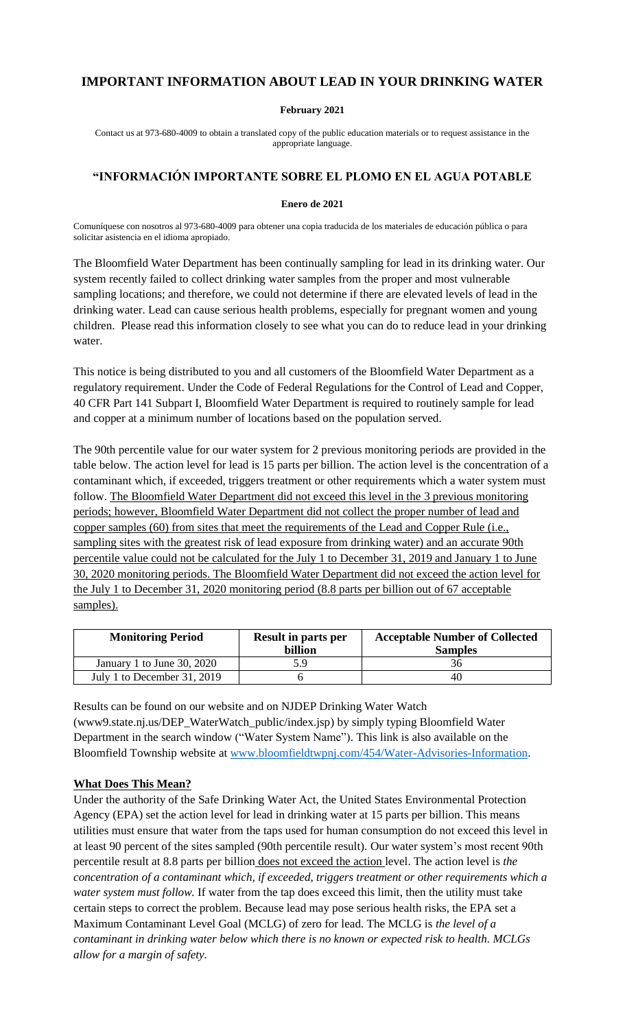## **IMPORTANT INFORMATION ABOUT LEAD IN YOUR DRINKING WATER**

#### **February 2021**

Contact us at 973-680-4009 to obtain a translated copy of the public education materials or to request assistance in the appropriate language.

#### **"INFORMACIÓN IMPORTANTE SOBRE EL PLOMO EN EL AGUA POTABLE**

#### **Enero de 2021**

Comuníquese con nosotros al 973-680-4009 para obtener una copia traducida de los materiales de educación pública o para solicitar asistencia en el idioma apropiado.

The Bloomfield Water Department has been continually sampling for lead in its drinking water. Our system recently failed to collect drinking water samples from the proper and most vulnerable sampling locations; and therefore, we could not determine if there are elevated levels of lead in the drinking water. Lead can cause serious health problems, especially for pregnant women and young children. Please read this information closely to see what you can do to reduce lead in your drinking water.

This notice is being distributed to you and all customers of the Bloomfield Water Department as a regulatory requirement. Under the Code of Federal Regulations for the Control of Lead and Copper, 40 CFR Part 141 Subpart I, Bloomfield Water Department is required to routinely sample for lead and copper at a minimum number of locations based on the population served.

The 90th percentile value for our water system for 2 previous monitoring periods are provided in the table below. The action level for lead is 15 parts per billion. The action level is the concentration of a contaminant which, if exceeded, triggers treatment or other requirements which a water system must follow. The Bloomfield Water Department did not exceed this level in the 3 previous monitoring periods; however, Bloomfield Water Department did not collect the proper number of lead and copper samples (60) from sites that meet the requirements of the Lead and Copper Rule (i.e., sampling sites with the greatest risk of lead exposure from drinking water) and an accurate 90th percentile value could not be calculated for the July 1 to December 31, 2019 and January 1 to June 30, 2020 monitoring periods. The Bloomfield Water Department did not exceed the action level for the July 1 to December 31, 2020 monitoring period (8.8 parts per billion out of 67 acceptable samples).

| <b>Monitoring Period</b>    | <b>Result in parts per</b><br>billion | <b>Acceptable Number of Collected</b><br><b>Samples</b> |
|-----------------------------|---------------------------------------|---------------------------------------------------------|
| January 1 to June 30, 2020  | 5 Q                                   | 36                                                      |
| July 1 to December 31, 2019 |                                       | 40                                                      |

Results can be found on our website and on NJDEP Drinking Water Watch (www9.state.nj.us/DEP\_WaterWatch\_public/index.jsp) by simply typing Bloomfield Water Department in the search window ("Water System Name"). This link is also available on the Bloomfield Township website at [www.bloomfieldtwpnj.com/454/Water-Advisories-Information.](http://www.bloomfieldtwpnj.com/454/Water-Advisories-Information)

#### **What Does This Mean?**

Under the authority of the Safe Drinking Water Act, the United States Environmental Protection Agency (EPA) set the action level for lead in drinking water at 15 parts per billion. This means utilities must ensure that water from the taps used for human consumption do not exceed this level in at least 90 percent of the sites sampled (90th percentile result). Our water system's most recent 90th percentile result at 8.8 parts per billion does not exceed the action level. The action level is *the concentration of a contaminant which, if exceeded, triggers treatment or other requirements which a water system must follow.* If water from the tap does exceed this limit, then the utility must take certain steps to correct the problem. Because lead may pose serious health risks, the EPA set a Maximum Contaminant Level Goal (MCLG) of zero for lead. The MCLG is *the level of a contaminant in drinking water below which there is no known or expected risk to health. MCLGs allow for a margin of safety.*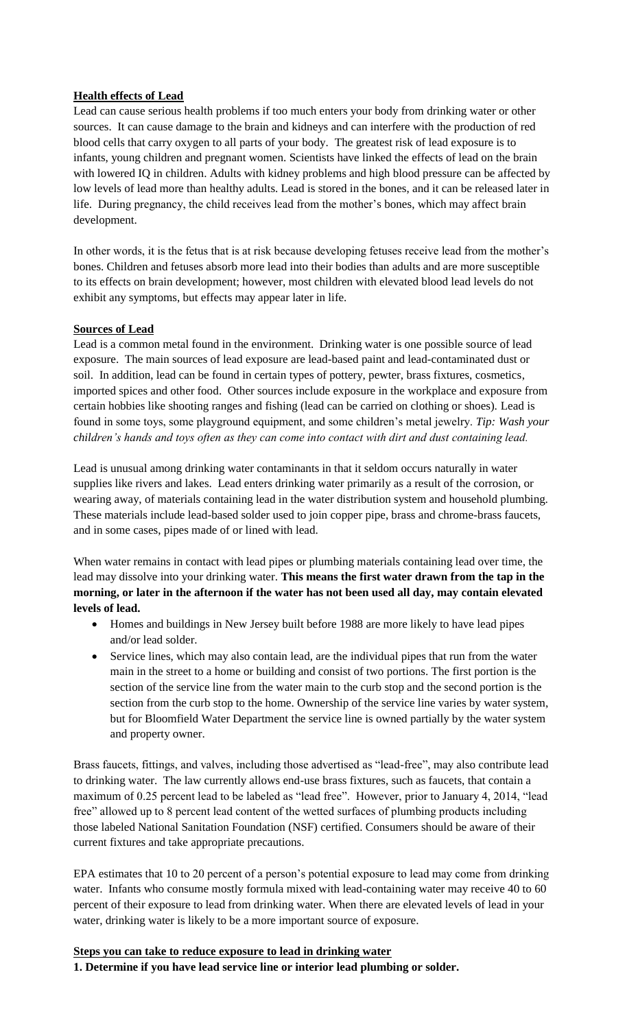### **Health effects of Lead**

Lead can cause serious health problems if too much enters your body from drinking water or other sources. It can cause damage to the brain and kidneys and can interfere with the production of red blood cells that carry oxygen to all parts of your body. The greatest risk of lead exposure is to infants, young children and pregnant women. Scientists have linked the effects of lead on the brain with lowered IQ in children. Adults with kidney problems and high blood pressure can be affected by low levels of lead more than healthy adults. Lead is stored in the bones, and it can be released later in life. During pregnancy, the child receives lead from the mother's bones, which may affect brain development.

In other words, it is the fetus that is at risk because developing fetuses receive lead from the mother's bones. Children and fetuses absorb more lead into their bodies than adults and are more susceptible to its effects on brain development; however, most children with elevated blood lead levels do not exhibit any symptoms, but effects may appear later in life.

#### **Sources of Lead**

Lead is a common metal found in the environment. Drinking water is one possible source of lead exposure. The main sources of lead exposure are lead-based paint and lead-contaminated dust or soil. In addition, lead can be found in certain types of pottery, pewter, brass fixtures, cosmetics, imported spices and other food. Other sources include exposure in the workplace and exposure from certain hobbies like shooting ranges and fishing (lead can be carried on clothing or shoes). Lead is found in some toys, some playground equipment, and some children's metal jewelry. *Tip: Wash your children's hands and toys often as they can come into contact with dirt and dust containing lead.*

Lead is unusual among drinking water contaminants in that it seldom occurs naturally in water supplies like rivers and lakes. Lead enters drinking water primarily as a result of the corrosion, or wearing away, of materials containing lead in the water distribution system and household plumbing. These materials include lead-based solder used to join copper pipe, brass and chrome-brass faucets, and in some cases, pipes made of or lined with lead.

When water remains in contact with lead pipes or plumbing materials containing lead over time, the lead may dissolve into your drinking water. **This means the first water drawn from the tap in the morning, or later in the afternoon if the water has not been used all day, may contain elevated levels of lead.**

- Homes and buildings in New Jersey built before 1988 are more likely to have lead pipes and/or lead solder.
- Service lines, which may also contain lead, are the individual pipes that run from the water main in the street to a home or building and consist of two portions. The first portion is the section of the service line from the water main to the curb stop and the second portion is the section from the curb stop to the home. Ownership of the service line varies by water system, but for Bloomfield Water Department the service line is owned partially by the water system and property owner.

Brass faucets, fittings, and valves, including those advertised as "lead-free", may also contribute lead to drinking water. The law currently allows end-use brass fixtures, such as faucets, that contain a maximum of 0.25 percent lead to be labeled as "lead free". However, prior to January 4, 2014, "lead free" allowed up to 8 percent lead content of the wetted surfaces of plumbing products including those labeled National Sanitation Foundation (NSF) certified. Consumers should be aware of their current fixtures and take appropriate precautions.

EPA estimates that 10 to 20 percent of a person's potential exposure to lead may come from drinking water. Infants who consume mostly formula mixed with lead-containing water may receive 40 to 60 percent of their exposure to lead from drinking water. When there are elevated levels of lead in your water, drinking water is likely to be a more important source of exposure.

#### **Steps you can take to reduce exposure to lead in drinking water**

**1. Determine if you have lead service line or interior lead plumbing or solder.**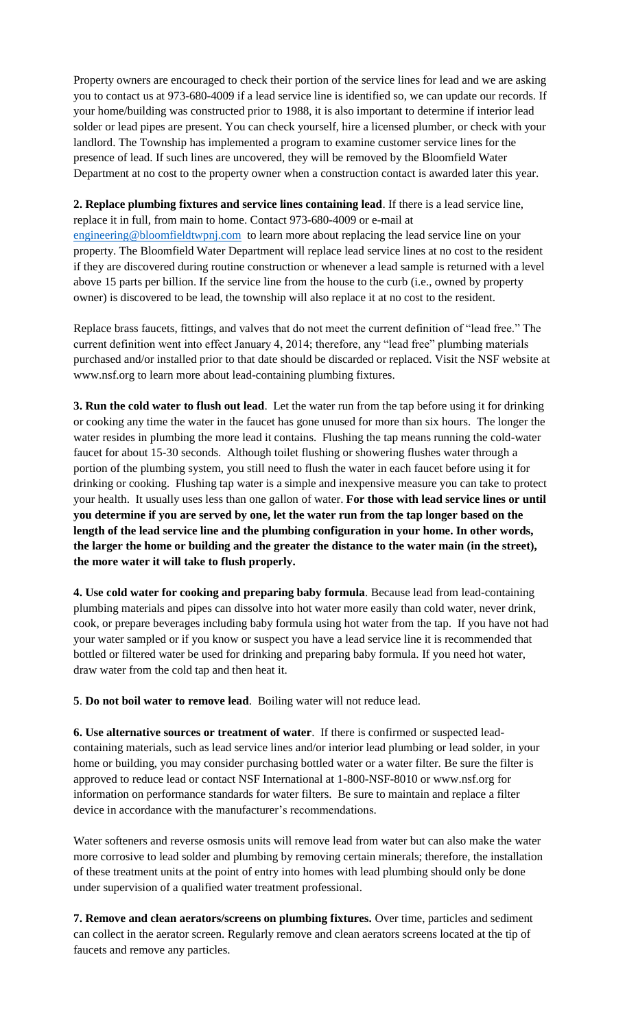Property owners are encouraged to check their portion of the service lines for lead and we are asking you to contact us at 973-680-4009 if a lead service line is identified so, we can update our records. If your home/building was constructed prior to 1988, it is also important to determine if interior lead solder or lead pipes are present. You can check yourself, hire a licensed plumber, or check with your landlord. The Township has implemented a program to examine customer service lines for the presence of lead. If such lines are uncovered, they will be removed by the Bloomfield Water Department at no cost to the property owner when a construction contact is awarded later this year.

**2. Replace plumbing fixtures and service lines containing lead**. If there is a lead service line, replace it in full, from main to home. Contact 973-680-4009 or e-mail at [engineering@bloomfieldtwpnj.com](mailto:engineering@bloomfieldtwpnj.com) to learn more about replacing the lead service line on your property. The Bloomfield Water Department will replace lead service lines at no cost to the resident if they are discovered during routine construction or whenever a lead sample is returned with a level above 15 parts per billion. If the service line from the house to the curb (i.e., owned by property owner) is discovered to be lead, the township will also replace it at no cost to the resident.

Replace brass faucets, fittings, and valves that do not meet the current definition of "lead free." The current definition went into effect January 4, 2014; therefore, any "lead free" plumbing materials purchased and/or installed prior to that date should be discarded or replaced. Visit the NSF website at www.nsf.org to learn more about lead-containing plumbing fixtures.

**3. Run the cold water to flush out lead**. Let the water run from the tap before using it for drinking or cooking any time the water in the faucet has gone unused for more than six hours. The longer the water resides in plumbing the more lead it contains. Flushing the tap means running the cold-water faucet for about 15-30 seconds. Although toilet flushing or showering flushes water through a portion of the plumbing system, you still need to flush the water in each faucet before using it for drinking or cooking. Flushing tap water is a simple and inexpensive measure you can take to protect your health. It usually uses less than one gallon of water. **For those with lead service lines or until you determine if you are served by one, let the water run from the tap longer based on the length of the lead service line and the plumbing configuration in your home. In other words, the larger the home or building and the greater the distance to the water main (in the street), the more water it will take to flush properly.**

**4. Use cold water for cooking and preparing baby formula**. Because lead from lead-containing plumbing materials and pipes can dissolve into hot water more easily than cold water, never drink, cook, or prepare beverages including baby formula using hot water from the tap. If you have not had your water sampled or if you know or suspect you have a lead service line it is recommended that bottled or filtered water be used for drinking and preparing baby formula. If you need hot water, draw water from the cold tap and then heat it.

**5**. **Do not boil water to remove lead**. Boiling water will not reduce lead.

**6. Use alternative sources or treatment of water**. If there is confirmed or suspected leadcontaining materials, such as lead service lines and/or interior lead plumbing or lead solder, in your home or building, you may consider purchasing bottled water or a water filter. Be sure the filter is approved to reduce lead or contact NSF International at 1-800-NSF-8010 or [www.nsf.org](http://www.nsf.org/) for information on performance standards for water filters. Be sure to maintain and replace a filter device in accordance with the manufacturer's recommendations.

Water softeners and reverse osmosis units will remove lead from water but can also make the water more corrosive to lead solder and plumbing by removing certain minerals; therefore, the installation of these treatment units at the point of entry into homes with lead plumbing should only be done under supervision of a qualified water treatment professional.

**7. Remove and clean aerators/screens on plumbing fixtures.** Over time, particles and sediment can collect in the aerator screen. Regularly remove and clean aerators screens located at the tip of faucets and remove any particles.